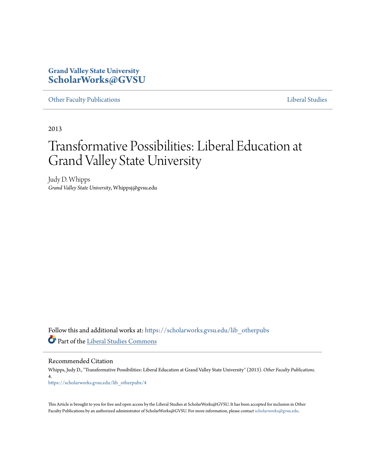## **Grand Valley State University [ScholarWorks@GVSU](https://scholarworks.gvsu.edu?utm_source=scholarworks.gvsu.edu%2Flib_otherpubs%2F4&utm_medium=PDF&utm_campaign=PDFCoverPages)**

[Other Faculty Publications](https://scholarworks.gvsu.edu/lib_otherpubs?utm_source=scholarworks.gvsu.edu%2Flib_otherpubs%2F4&utm_medium=PDF&utm_campaign=PDFCoverPages) **[Liberal Studies](https://scholarworks.gvsu.edu/lib?utm_source=scholarworks.gvsu.edu%2Flib_otherpubs%2F4&utm_medium=PDF&utm_campaign=PDFCoverPages)** 

2013

## Transformative Possibilities: Liberal Education at Grand Valley State University

Judy D. Whipps *Grand Valley State University*, Whippsj@gvsu.edu

Follow this and additional works at: [https://scholarworks.gvsu.edu/lib\\_otherpubs](https://scholarworks.gvsu.edu/lib_otherpubs?utm_source=scholarworks.gvsu.edu%2Flib_otherpubs%2F4&utm_medium=PDF&utm_campaign=PDFCoverPages) Part of the [Liberal Studies Commons](http://network.bepress.com/hgg/discipline/1042?utm_source=scholarworks.gvsu.edu%2Flib_otherpubs%2F4&utm_medium=PDF&utm_campaign=PDFCoverPages)

Recommended Citation

Whipps, Judy D., "Transformative Possibilities: Liberal Education at Grand Valley State University" (2013). *Other Faculty Publications*. 4. [https://scholarworks.gvsu.edu/lib\\_otherpubs/4](https://scholarworks.gvsu.edu/lib_otherpubs/4?utm_source=scholarworks.gvsu.edu%2Flib_otherpubs%2F4&utm_medium=PDF&utm_campaign=PDFCoverPages)

This Article is brought to you for free and open access by the Liberal Studies at ScholarWorks@GVSU. It has been accepted for inclusion in Other Faculty Publications by an authorized administrator of ScholarWorks@GVSU. For more information, please contact [scholarworks@gvsu.edu.](mailto:scholarworks@gvsu.edu)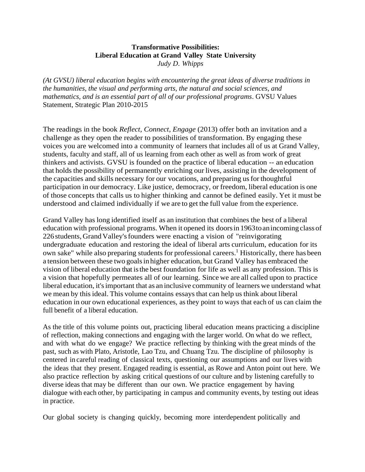## **Transformative Possibilities: Liberal Education at Grand Valley State University** *Judy D. Whipps*

*(At GVSU) liberal education begins with encountering the great ideas of diverse traditions in the humanities, the visual and performing arts, the natural and social sciences, and mathematics, and is an essential part of all of our professional programs*. GVSU Values Statement, Strategic Plan 2010-2015

The readings in the book *Reflect, Connect, Engage* (2013) offer both an invitation and a challenge as they open the reader to possibilities of transformation. By engaging these voices you are welcomed into a community of learners that includes all of us at Grand Valley, students, faculty and staff, all of us learning from each other as well as from work of great thinkers and activists. GVSU is founded on the practice of liberal education -- an education that holds the possibility of permanently enriching our lives, assisting in the development of the capacities and skills necessary for our vocations, and preparing us for thoughtful participation in our democracy. Like justice, democracy, or freedom, liberal education is one of those concepts that calls us to higher thinking and cannot be defined easily. Yet it must be understood and claimed individually if we are to get the full value from the experience.

Grand Valley has long identified itself as an institution that combines the best of a liberal education with professional programs. When it opened its doorsin1963toanincoming class of 226 students, GrandValley'sfounders were enacting a vision of "reinvigorating undergraduate education and restoring the ideal of liberal arts curriculum, education for its own sake" while also preparing students for professional careers.<sup>1</sup> Historically, there has been a tension between these two goalsin higher education, but Grand Valley has embraced the vision of liberal education that isthe best foundation for life as well as any profession. This is a vision that hopefully permeates all of our learning. Since we are all called upon to practice liberal education, it'simportant that as an inclusive community of learners we understand what we mean by this ideal. This volume contains essays that can help us think about liberal education in our own educational experiences, as they point to ways that each of us can claim the full benefit of a liberal education.

As the title of this volume points out, practicing liberal education means practicing a discipline of reflection, making connections and engaging with the larger world. On what do we reflect, and with what do we engage? We practice reflecting by thinking with the great minds of the past, such as with Plato, Aristotle, Lao Tzu, and Chuang Tzu. The discipline of philosophy is centered in careful reading of classical texts, questioning our assumptions and our lives with the ideas that they present. Engaged reading is essential, as Rowe and Anton point out here. We also practice reflection by asking critical questions of our culture and by listening carefully to diverse ideas that may be different than our own. We practice engagement by having dialogue with each other, by participating in campus and community events, by testing out ideas in practice.

Our global society is changing quickly, becoming more interdependent politically and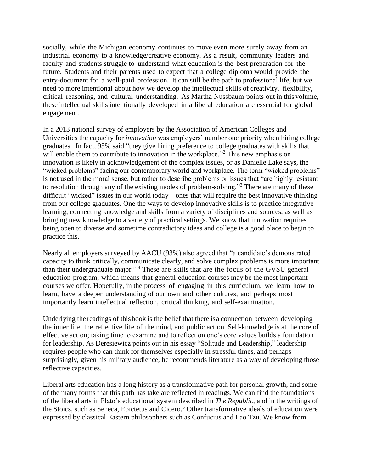socially, while the Michigan economy continues to move even more surely away from an industrial economy to a knowledge/creative economy. As a result, community leaders and faculty and students struggle to understand what education is the best preparation for the future. Students and their parents used to expect that a college diploma would provide the entry-document for a well-paid profession. It can still be the path to professional life, but we need to more intentional about how we develop the intellectual skills of creativity, flexibility, critical reasoning, and cultural understanding. As Martha Nussbaum points out in this volume, these intellectual skills intentionally developed in a liberal education are essential for global engagement.

In a 2013 national survey of employers by the Association of American Colleges and Universities the capacity for *innovation* was employers' number one priority when hiring college graduates. In fact, 95% said "they give hiring preference to college graduates with skills that will enable them to contribute to innovation in the workplace.<sup>"2</sup> This new emphasis on innovation is likely in acknowledgement of the complex issues, or as Danielle Lake says, the "wicked problems" facing our contemporary world and workplace. The term "wicked problems" is not used in the moral sense, but rather to describe problems or issues that "are highly resistant to resolution through any of the existing modes of problem-solving."<sup>3</sup> There are many of these difficult "wicked" issues in our world today – ones that will require the best innovative thinking from our college graduates. One the ways to develop innovative skills is to practice integrative learning, connecting knowledge and skills from a variety of disciplines and sources, as well as bringing new knowledge to a variety of practical settings. We know that innovation requires being open to diverse and sometime contradictory ideas and college is a good place to begin to practice this.

Nearly all employers surveyed by AACU (93%) also agreed that "a candidate's demonstrated capacity to think critically, communicate clearly, and solve complex problems is more important than their undergraduate major." <sup>4</sup> These are skills that are the focus of the GVSU general education program, which means that general education courses may be the most important courses we offer. Hopefully, in the process of engaging in this curriculum, we learn how to learn, have a deeper understanding of our own and other cultures, and perhaps most importantly learn intellectual reflection, critical thinking, and self-examination.

Underlying the readings of thisbook is the belief that there isa connection between developing the inner life, the reflective life of the mind, and public action. Self-knowledge is at the core of effective action; taking time to examine and to reflect on one's core values builds a foundation for leadership. As Deresiewicz points out in his essay "Solitude and Leadership," leadership requires people who can think for themselves especially in stressful times, and perhaps surprisingly, given his military audience, he recommends literature as a way of developing those reflective capacities.

Liberal arts education has a long history as a transformative path for personal growth, and some of the many forms that this path has take are reflected in readings. We can find the foundations of the liberal arts in Plato's educational system described in *The Republic*, and in the writings of the Stoics, such as Seneca, Epictetus and Cicero.<sup>5</sup> Other transformative ideals of education were expressed by classical Eastern philosophers such as Confucius and Lao Tzu. We know from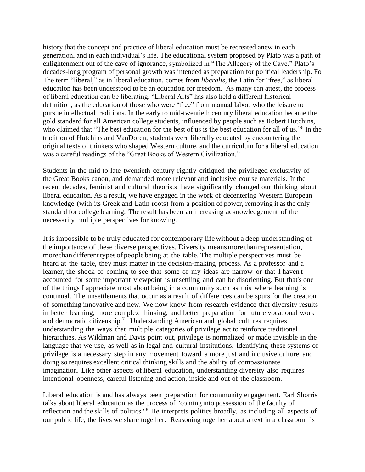history that the concept and practice of liberal education must be recreated anew in each generation, and in each individual's life. The educational system proposed by Plato was a path of enlightenment out of the cave of ignorance, symbolized in "The Allegory of the Cave." Plato's decades-long program of personal growth was intended as preparation for political leadership. Fo The term "liberal," as in liberal education, comes from *liberalis,* the Latin for "free," as liberal education has been understood to be an education for freedom. As many can attest, the process of liberal education can be liberating. "Liberal Arts" has also held a different historical definition, as the education of those who were "free" from manual labor, who the leisure to pursue intellectual traditions. In the early to mid-twentieth century liberal education became the gold standard for all American college students, influenced by people such as Robert Hutchins, who claimed that "The best education for the best of us is the best education for all of us."<sup>6</sup> In the tradition of Hutchins and VanDoren, students were liberally educated by encountering the original texts of thinkers who shaped Western culture, and the curriculum for a liberal education was a careful readings of the "Great Books of Western Civilization."

Students in the mid-to-late twentieth century rightly critiqued the privileged exclusivity of the Great Books canon, and demanded more relevant and inclusive course materials. In the recent decades, feminist and cultural theorists have significantly changed our thinking about liberal education. As a result, we have engaged in the work of decentering Western European knowledge (with its Greek and Latin roots) from a position of power, removing it asthe only standard for college learning. The result has been an increasing acknowledgement of the necessarily multiple perspectives for knowing.

It is impossible to be truly educated for contemporary lifewithout a deep understanding of the importance of these diverse perspectives. Diversity meansmore thanrepresentation, more than different types of people being at the table. The multiple perspectives must be heard at the table, they must matter in the decision-making process. As a professor and a learner, the shock of coming to see that some of my ideas are narrow or that I haven't accounted for some important viewpoint is unsettling and can be disorienting. But that's one of the things I appreciate most about being in a community such as this where learning is continual. The unsettlements that occur as a result of differences can be spurs for the creation of something innovative and new. We now know from research evidence that diversity results in better learning, more complex thinking, and better preparation for future vocational work and democratic citizenship.<sup>7</sup> Understanding American and global cultures requires understanding the ways that multiple categories of privilege act to reinforce traditional hierarchies. As Wildman and Davis point out, privilege is normalized or made invisible in the language that we use, as well as in legal and cultural institutions. Identifying these systems of privilege is a necessary step in any movement toward a more just and inclusive culture, and doing so requires excellent critical thinking skills and the ability of compassionate imagination. Like other aspects of liberal education, understanding diversity also requires intentional openness, careful listening and action, inside and out of the classroom.

Liberal education is and has always been preparation for community engagement. Earl Shorris talks about liberal education as the process of "coming into possession of the faculty of reflection and the skills of politics."<sup>8</sup> He interprets politics broadly, as including all aspects of our public life, the lives we share together. Reasoning together about a text in a classroom is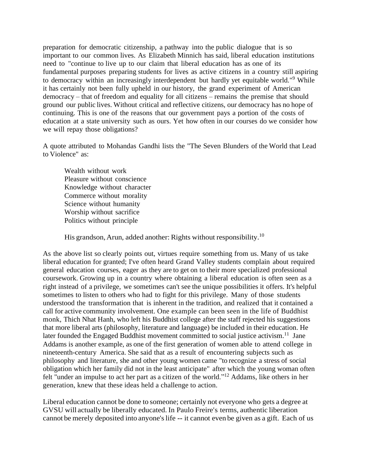preparation for democratic citizenship, a pathway into the public dialogue that is so important to our common lives. As Elizabeth Minnich has said, liberal education institutions need to "continue to live up to our claim that liberal education has as one of its fundamental purposes preparing students for lives as active citizens in a country still aspiring to democracy within an increasingly interdependent but hardly yet equitable world."<sup>9</sup> While it has certainly not been fully upheld in our history, the grand experiment of American democracy – that of freedom and equality for all citizens – remains the premise that should ground our public lives. Without critical and reflective citizens, our democracy has no hope of continuing. This is one of the reasons that our government pays a portion of the costs of education at a state university such as ours. Yet how often in our courses do we consider how we will repay those obligations?

A quote attributed to Mohandas Gandhi lists the "The Seven Blunders of the World that Lead to Violence" as:

Wealth without work Pleasure without conscience Knowledge without character Commerce without morality Science without humanity Worship without sacrifice Politics without principle

His grandson, Arun, added another: Rights without responsibility.<sup>10</sup>

As the above list so clearly points out, virtues require something from us. Many of us take liberal education for granted; I've often heard Grand Valley students complain about required general education courses, eager as they are to get on to their more specialized professional coursework. Growing up in a country where obtaining a liberal education is often seen as a right instead of a privilege, we sometimes can't see the unique possibilities it offers. It's helpful sometimes to listen to others who had to fight for this privilege. Many of those students understood the transformation that is inherent in the tradition, and realized that it contained a call for active community involvement. One example can been seen in the life of Buddhist monk, Thich Nhat Hanh, who left his Buddhist college after the staff rejected his suggestions that more liberal arts (philosophy, literature and language) be included in their education. He later founded the Engaged Buddhist movement committed to social justice activism.<sup>11</sup> Jane Addams is another example, as one of the first generation of women able to attend college in nineteenth-century America. She said that as a result of encountering subjects such as philosophy and literature, she and other young women came "to recognize a stress of social obligation which her family did not in the least anticipate" after which the young woman often felt "under an impulse to act her part as a citizen of the world."<sup>12</sup> Addams, like others in her generation, knew that these ideas held a challenge to action.

Liberal education cannot be done to someone; certainly not everyone who gets a degree at GVSU will actually be liberally educated. In Paulo Freire's terms, authentic liberation cannot be merely deposited into anyone's life -- it cannot even be given as a gift. Each of us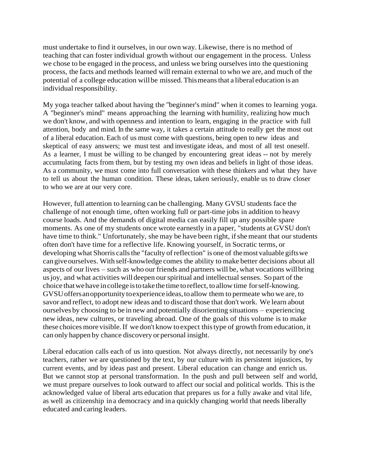must undertake to find it ourselves, in our own way. Likewise, there is no method of teaching that can foster individual growth without our engagement in the process. Unless we chose to be engaged in the process, and unless we bring ourselves into the questioning process, the facts and methods learned will remain external to who we are, and much of the potential of a college education willbe missed.Thismeansthat a liberal education is an individual responsibility.

My yoga teacher talked about having the ''beginner's mind" when it comes to learning yoga. A "beginner's mind" means approaching the learning with humility, realizing how much we don't know, and with openness and intention to learn, engaging in the practice with full attention, body and mind. In the same way, it takes a certain attitude to really get the most out of a liberal education. Each of us must come with questions, being open to new ideas and skeptical of easy answers; we must test and investigate ideas, and most of all test oneself. As a learner, I must be willing to be changed by encountering great ideas -- not by merely accumulating facts from them, but by testing my own ideas and beliefs in light of those ideas. As a community, we must come into full conversation with these thinkers and what they have to tell us about the human condition. These ideas, taken seriously, enable us to draw closer to who we are at our very core.

However, full attention to learning can be challenging. Many GVSU students face the challenge of not enough time, often working full or part-time jobs in addition to heavy course loads. And the demands of digital media can easily fill up any possible spare moments. As one of my students once wrote earnestly in a paper, "students at GVSU don't have time to think." Unfortunately, she may be have been right, if she meant that our students often don't have time for a reflective life. Knowing yourself, in Socratic terms, or developing what Shorris calls the "faculty of reflection" is one of the most valuable gifts we cangiveourselves. With self-knowledge comes the ability to make better decisions about all aspects of our lives – such as who our friends and partners will be, what vocations willbring usjoy, and what activities will deepen ourspiritual and intellectual senses. Sopart of the choice thatwehave incollege istotakethe time toreflect, toallow time forself-knowing. GVSUoffersanopportunity toexperience ideas,toallow them to permeate who we are, to savor and reflect, to adopt new ideas and to discard those that don't work. We learn about ourselves by choosing to be in new and potentially disorienting situations – experiencing new ideas, new cultures, or traveling abroad. One of the goals of this volume is to make these choicesmore visible.If we don't know toexpect thistype of growth from education, it can only happen by chance discovery or personal insight.

Liberal education calls each of us into question. Not always directly, not necessarily by one's teachers, rather we are questioned by the text, by our culture with its persistent injustices, by current events, and by ideas past and present. Liberal education can change and enrich us. But we cannot stop at personal transformation. In the push and pull between self and world, we must prepare ourselves to look outward to affect our social and political worlds. This is the acknowledged value of liberal arts education that prepares us for a fully awake and vital life, as well as citizenship in a democracy and ina quickly changing world that needs liberally educated and caring leaders.